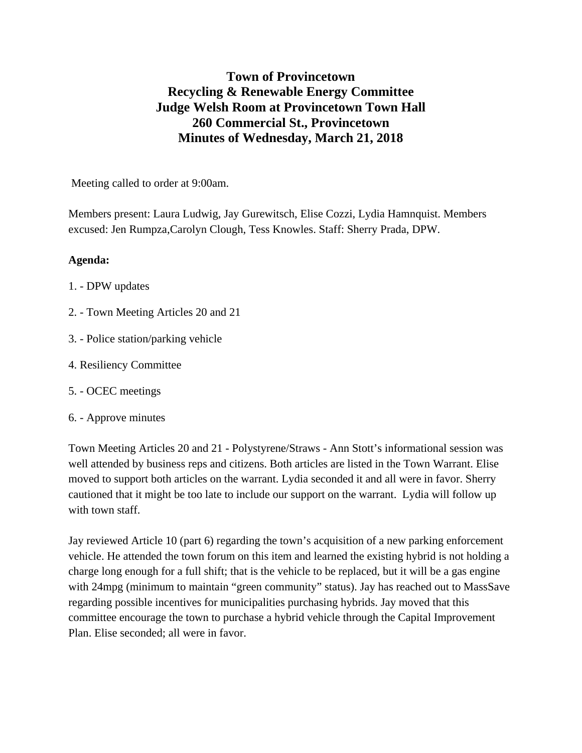## **Town of Provincetown Recycling & Renewable Energy Committee Judge Welsh Room at Provincetown Town Hall 260 Commercial St., Provincetown Minutes of Wednesday, March 21, 2018**

Meeting called to order at 9:00am.

Members present: Laura Ludwig, Jay Gurewitsch, Elise Cozzi, Lydia Hamnquist. Members excused: Jen Rumpza,Carolyn Clough, Tess Knowles. Staff: Sherry Prada, DPW.

## **Agenda:**

- 1. DPW updates
- 2. Town Meeting Articles 20 and 21
- 3. Police station/parking vehicle
- 4. Resiliency Committee
- 5. OCEC meetings
- 6. Approve minutes

Town Meeting Articles 20 and 21 - Polystyrene/Straws - Ann Stott's informational session was well attended by business reps and citizens. Both articles are listed in the Town Warrant. Elise moved to support both articles on the warrant. Lydia seconded it and all were in favor. Sherry cautioned that it might be too late to include our support on the warrant. Lydia will follow up with town staff.

Jay reviewed Article 10 (part 6) regarding the town's acquisition of a new parking enforcement vehicle. He attended the town forum on this item and learned the existing hybrid is not holding a charge long enough for a full shift; that is the vehicle to be replaced, but it will be a gas engine with 24mpg (minimum to maintain "green community" status). Jay has reached out to MassSave regarding possible incentives for municipalities purchasing hybrids. Jay moved that this committee encourage the town to purchase a hybrid vehicle through the Capital Improvement Plan. Elise seconded; all were in favor.